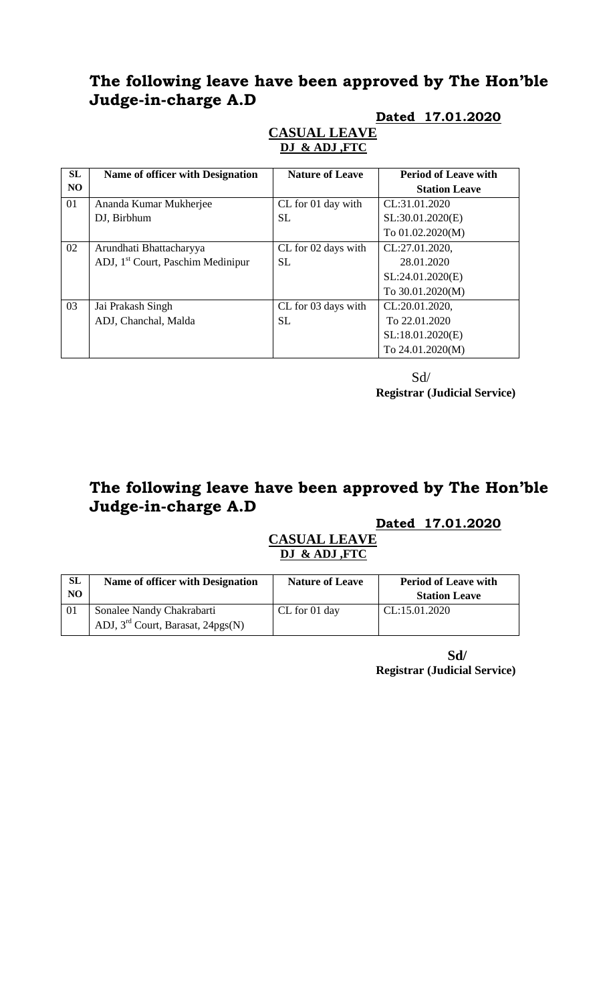# **The following leave have been approved by The Hon'ble Judge-in-charge A.D**

#### **SL NO Name of officer with Designation** | **Nature of Leave** | **Period of Leave with Station Leave** 01 Ananda Kumar Mukherjee DJ, Birbhum CL for 01 day with SL CL:31.01.2020 SL:30.01.2020(E) To 01.02.2020(M) 02 Arundhati Bhattacharyya ADJ, 1st Court, Paschim Medinipur CL for 02 days with SL CL:27.01.2020, 28.01.2020 SL:24.01.2020(E) To 30.01.2020(M) 03 Jai Prakash Singh ADJ, Chanchal, Malda CL for 03 days with SL CL:20.01.2020, To 22.01.2020 SL:18.01.2020(E) To 24.01.2020(M)

#### **Dated 17.01.2020 CASUAL LEAVE DJ & ADJ ,FTC**

Sd/ **Registrar (Judicial Service)**

# **The following leave have been approved by The Hon'ble Judge-in-charge A.D**

## **Dated 17.01.2020**

#### **CASUAL LEAVE DJ & ADJ ,FTC**

| <b>SL</b><br>N <sub>O</sub> | Name of officer with Designation                                 | <b>Nature of Leave</b> | <b>Period of Leave with</b><br><b>Station Leave</b> |
|-----------------------------|------------------------------------------------------------------|------------------------|-----------------------------------------------------|
| 01                          | Sonalee Nandy Chakrabarti<br>ADJ, $3rd$ Court, Barasat, 24pgs(N) | CL for 01 day          | CL:15.01.2020                                       |

**Sd/ Registrar (Judicial Service)**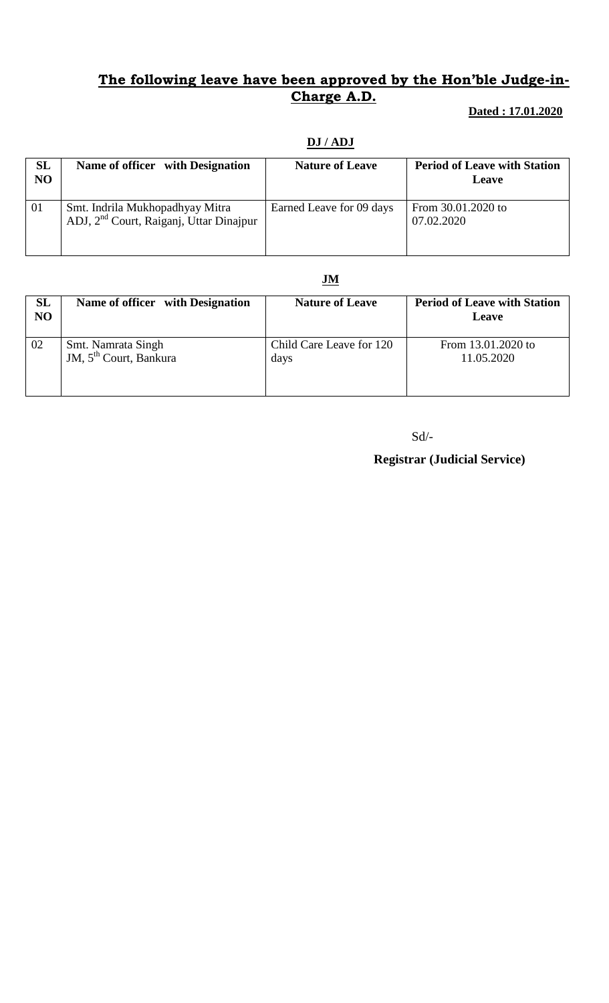### **The following leave have been approved by the Hon'ble Judge-in-Charge A.D.**

#### **Dated : 17.01.2020**

# **DJ / ADJ**

| <b>SL</b><br>N <sub>O</sub> | Name of officer with Designation                                                       | <b>Nature of Leave</b>   | <b>Period of Leave with Station</b><br><b>Leave</b> |
|-----------------------------|----------------------------------------------------------------------------------------|--------------------------|-----------------------------------------------------|
| 01                          | Smt. Indrila Mukhopadhyay Mitra<br>ADJ, 2 <sup>nd</sup> Court, Raiganj, Uttar Dinajpur | Earned Leave for 09 days | From 30.01.2020 to<br>07.02.2020                    |

#### **JM**

| SL<br><b>NO</b> | Name of officer with Designation                         | <b>Nature of Leave</b>           | <b>Period of Leave with Station</b><br><b>Leave</b> |
|-----------------|----------------------------------------------------------|----------------------------------|-----------------------------------------------------|
| 02              | Smt. Namrata Singh<br>JM, 5 <sup>th</sup> Court, Bankura | Child Care Leave for 120<br>days | From 13.01.2020 to<br>11.05.2020                    |

 $\mbox{Sd}/\mbox{-}$ 

 **Registrar (Judicial Service)**